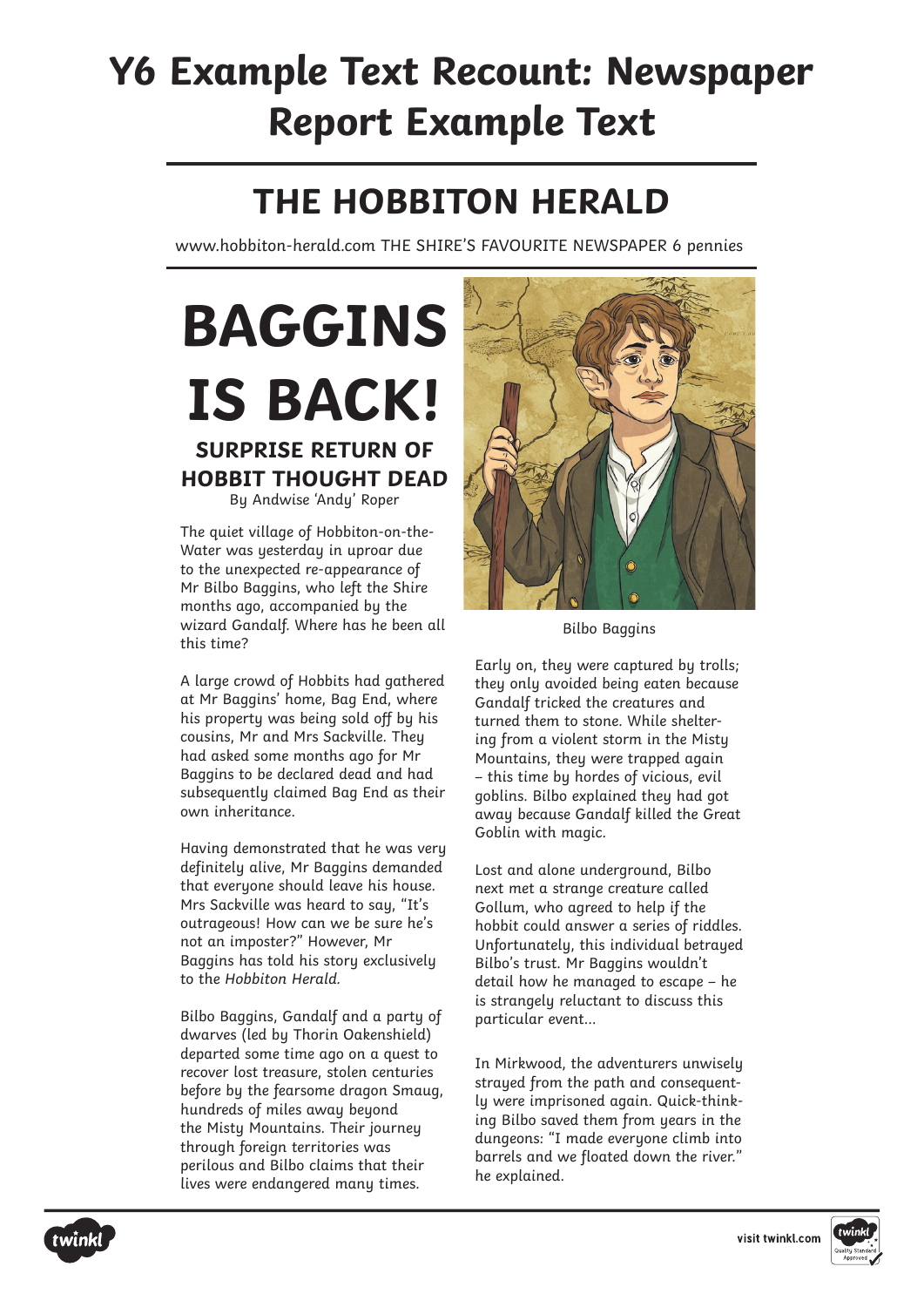# **Y6 Example Text Recount: Newspaper Report Example Text**

### **THE HOBBITON HERALD**

www.hobbiton-herald.com THE SHIRE'S FAVOURITE NEWSPAPER 6 pennies

# **BAGGINS IS BACK! SURPRISE RETURN OF HOBBIT THOUGHT DEAD**

By Andwise 'Andy' Roper

The quiet village of Hobbiton-on-the-Water was yesterday in uproar due to the unexpected re-appearance of Mr Bilbo Baggins, who left the Shire months ago, accompanied by the wizard Gandalf. Where has he been all this time?

A large crowd of Hobbits had gathered at Mr Baggins' home, Bag End, where his property was being sold off by his cousins, Mr and Mrs Sackville. They had asked some months ago for Mr Baggins to be declared dead and had subsequently claimed Bag End as their own inheritance.

Having demonstrated that he was very definitely alive, Mr Baggins demanded that everyone should leave his house. Mrs Sackville was heard to say, "It's outrageous! How can we be sure he's not an imposter?" However, Mr Baggins has told his story exclusively to the Hobbiton Herald.

Bilbo Baggins, Gandalf and a party of dwarves (led by Thorin Oakenshield) departed some time ago on a quest to recover lost treasure, stolen centuries before by the fearsome dragon Smaug, hundreds of miles away beyond the Misty Mountains. Their journey through foreign territories was perilous and Bilbo claims that their lives were endangered many times.



Bilbo Baggins

Early on, they were captured by trolls; they only avoided being eaten because Gandalf tricked the creatures and turned them to stone. While sheltering from a violent storm in the Misty Mountains, they were trapped again – this time by hordes of vicious, evil goblins. Bilbo explained they had got away because Gandalf killed the Great Goblin with magic.

Lost and alone underground, Bilbo next met a strange creature called Gollum, who agreed to help if the hobbit could answer a series of riddles. Unfortunately, this individual betrayed Bilbo's trust. Mr Baggins wouldn't detail how he managed to escape – he is strangely reluctant to discuss this particular event…

In Mirkwood, the adventurers unwisely strayed from the path and consequently were imprisoned again. Quick-thinking Bilbo saved them from years in the dungeons: "I made everyone climb into barrels and we floated down the river." he explained.



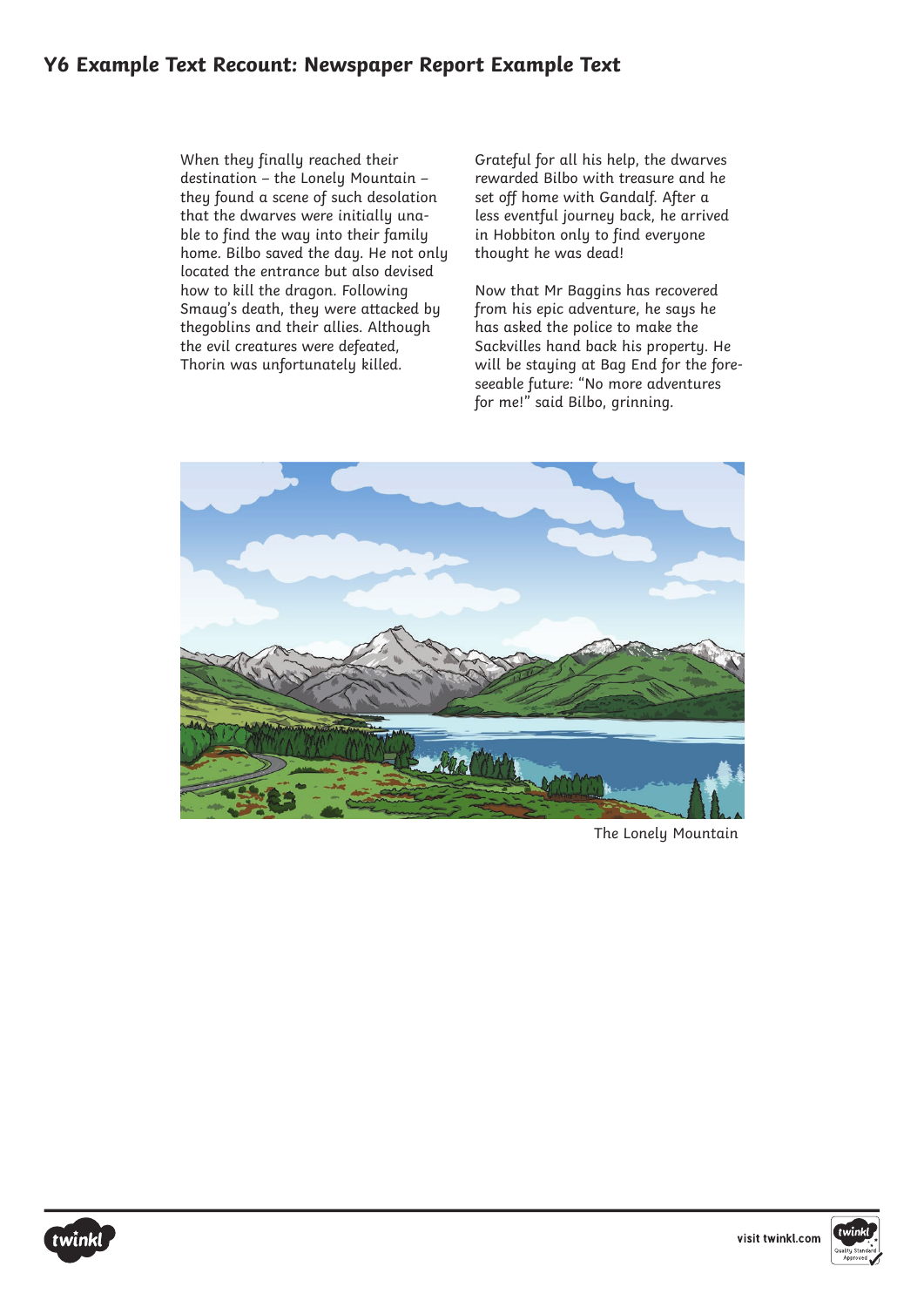#### **Y6 Example Text Recount: Newspaper Report Example Text**

When they finally reached their destination – the Lonely Mountain – they found a scene of such desolation that the dwarves were initially unable to find the way into their family home. Bilbo saved the day. He not only located the entrance but also devised how to kill the dragon. Following Smaug's death, they were attacked by thegoblins and their allies. Although the evil creatures were defeated, Thorin was unfortunately killed.

Grateful for all his help, the dwarves rewarded Bilbo with treasure and he set off home with Gandalf. After a less eventful journey back, he arrived in Hobbiton only to find everyone thought he was dead!

Now that Mr Baggins has recovered from his epic adventure, he says he has asked the police to make the Sackvilles hand back his property. He will be staying at Bag End for the foreseeable future: "No more adventures for me!" said Bilbo, grinning.



The Lonely Mountain





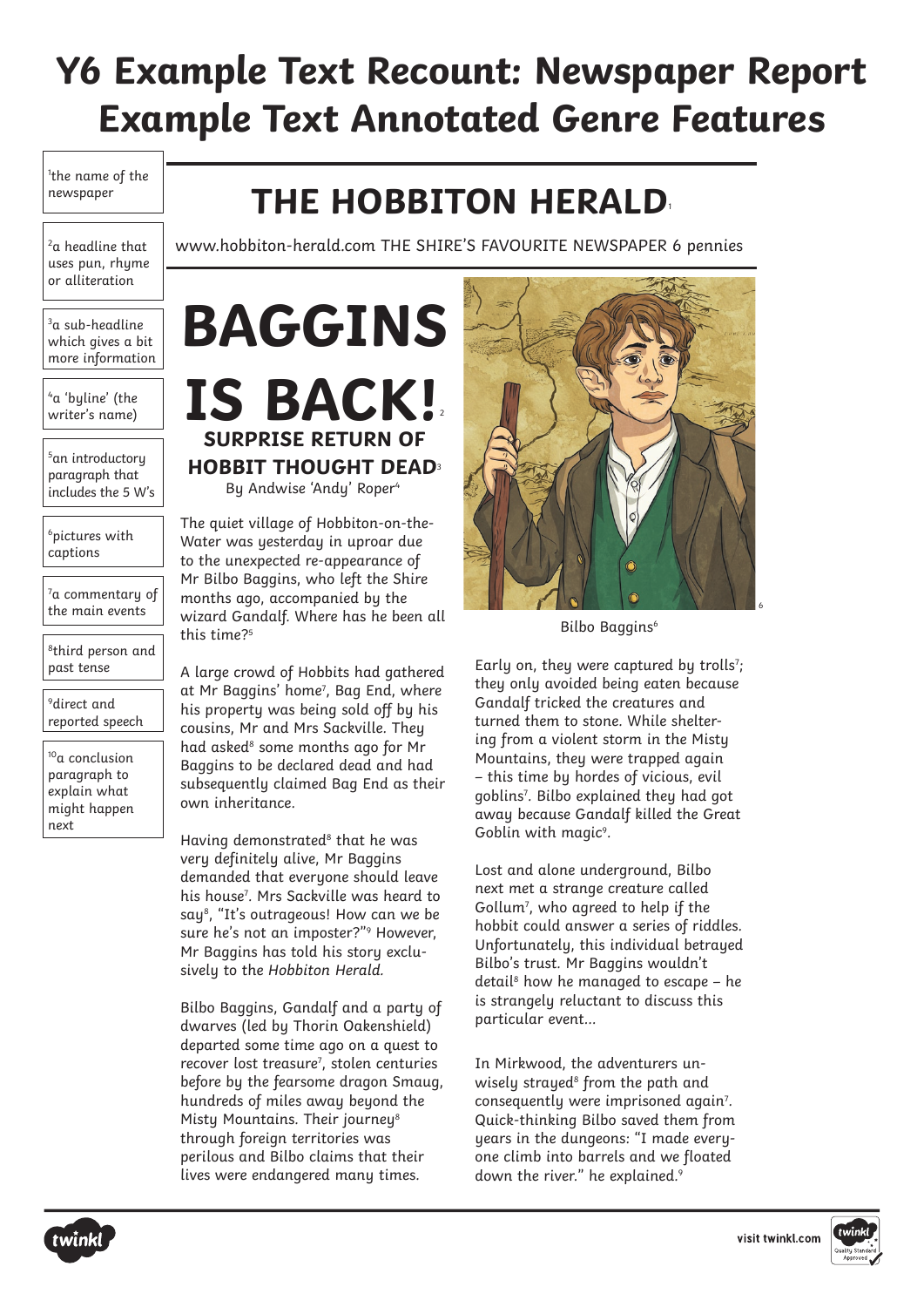# **Y6 Example Text Recount: Newspaper Report Example Text Annotated Genre Features**

1 the name of the newspaper

<sup>2</sup>a headline that uses pun, rhume or alliteration

 $3a$  sub-headline which gives a bit more information

4 a 'byline' (the writer's name)

5 an introductory paragraph that includes the 5 W's

6 pictures with captions

 $7a$  commentary of the main events

<sup>8</sup>third person and past tense

 $^9$ direct and reported speech

<sup>10</sup>a conclusion paragraph to explain what might happen next

## **THE HOBBITON HERALD**<sup>1</sup>

www.hobbiton-herald.com THE SHIRE'S FAVOURITE NEWSPAPER 6 pennies

**IS BACK! SURPRISE RETURN OF HOBBIT THOUGHT DEAD**<sup>3</sup> By Andwise 'Andy' Roper<sup>4</sup>

**BAGGINS**

The quiet village of Hobbiton-on-the-Water was yesterday in uproar due to the unexpected re-appearance of Mr Bilbo Baggins, who left the Shire months ago, accompanied by the wizard Gandalf. Where has he been all this time?<sup>5</sup>

A large crowd of Hobbits had gathered at Mr Baggins' home<sup>7</sup> , Bag End, where his property was being sold off by his cousins, Mr and Mrs Sackville. They had asked<sup>8</sup> some months ago for Mr Baggins to be declared dead and had subsequently claimed Bag End as their own inheritance.

Having demonstrated<sup>8</sup> that he was very definitely alive, Mr Baggins demanded that everyone should leave his house<sup>7</sup> . Mrs Sackville was heard to say<sup>8</sup>, "It's outrageous! How can we be sure he's not an imposter?"<sup>9</sup> However, Mr Baggins has told his story exclusively to the Hobbiton Herald.

Bilbo Baggins, Gandalf and a party of dwarves (led by Thorin Oakenshield) departed some time ago on a quest to recover lost treasure<sup>7</sup>, stolen centuries before by the fearsome dragon Smaug, hundreds of miles away beyond the Mistu Mountains. Their journeu<sup>8</sup> through foreign territories was perilous and Bilbo claims that their lives were endangered many times.



Bilbo Baggins<sup>6</sup>

Early on, they were captured by trolls<sup>7</sup>; they only avoided being eaten because Gandalf tricked the creatures and turned them to stone. While sheltering from a violent storm in the Misty Mountains, they were trapped again – this time by hordes of vicious, evil goblins7 . Bilbo explained they had got away because Gandalf killed the Great Goblin with magic<sup>9</sup>.

Lost and alone underground, Bilbo next met a strange creature called Gollum7 , who agreed to help if the hobbit could answer a series of riddles. Unfortunately, this individual betrayed Bilbo's trust. Mr Baggins wouldn't detail<sup>8</sup> how he managed to escape - he is strangely reluctant to discuss this particular event…

In Mirkwood, the adventurers unwisely strayed<sup>8</sup> from the path and consequently were imprisoned again<sup>7</sup>. Quick-thinking Bilbo saved them from years in the dungeons: "I made everyone climb into barrels and we floated down the river." he explained.9



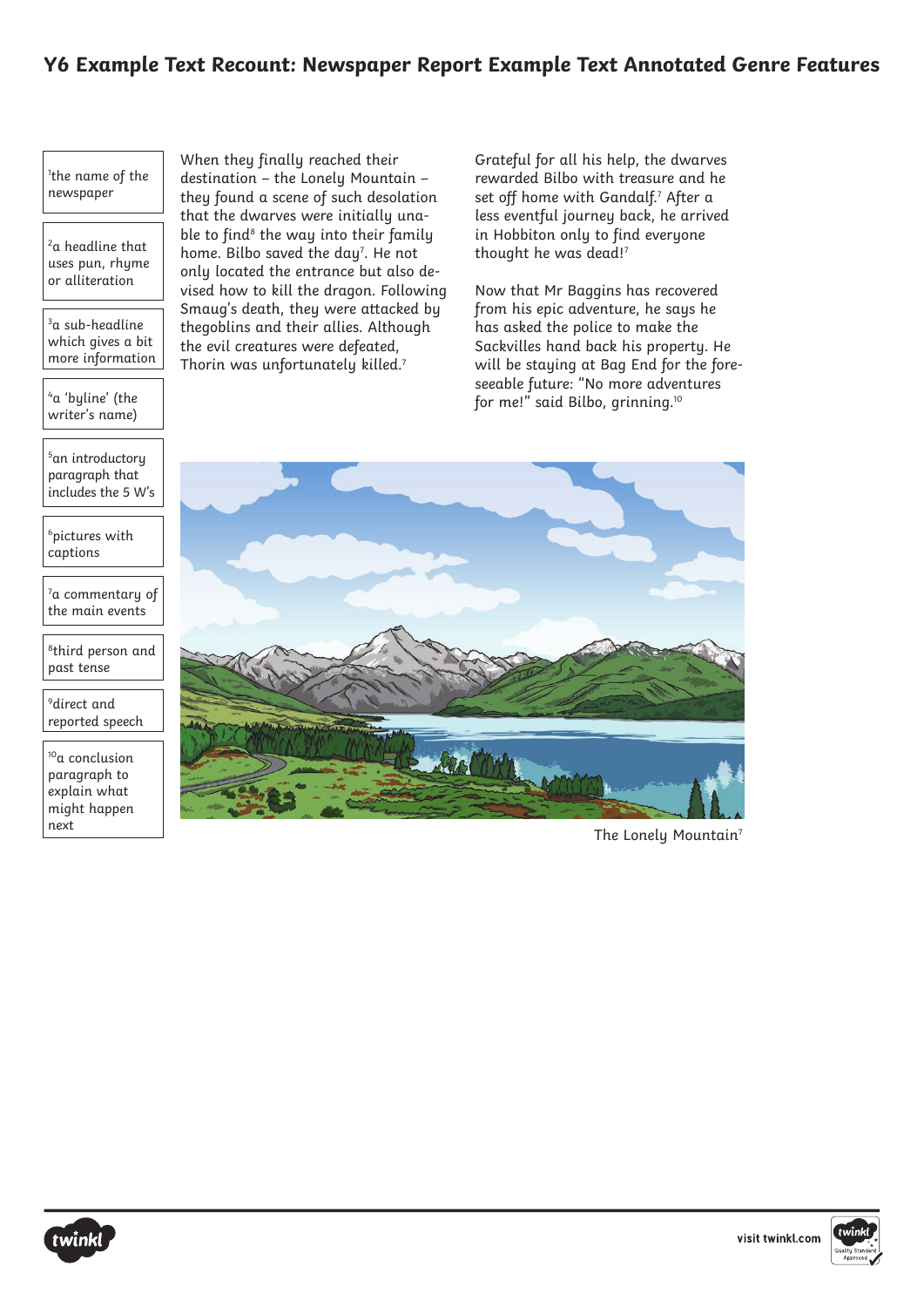#### **Y6 Example Text Recount: Newspaper Report Example Text Annotated Genre Features**

#### 1 the name of the newspaper

<sup>2</sup>a headline that uses pun, rhume or alliteration

 $3a$  sub-headline which gives a bit more information

4 a 'byline' (the writer's name)

5 an introductory paragraph that includes the 5 W's

6 pictures with captions

 $7a$  commentary of the main events

8third person and past tense

 $^9$ direct and reported speech

10a conclusion paragraph to explain what might happen next

When they finally reached their destination – the Lonely Mountain – they found a scene of such desolation that the dwarves were initially unable to find<sup>8</sup> the way into their family home. Bilbo saved the  $day^7$ . He not only located the entrance but also devised how to kill the dragon. Following Smaug's death, they were attacked by thegoblins and their allies. Although the evil creatures were defeated, Thorin was unfortunately killed.<sup>7</sup>

Grateful for all his help, the dwarves rewarded Bilbo with treasure and he set off home with Gandalf.<sup>7</sup> After a less eventful journey back, he arrived in Hobbiton only to find everyone thought he was dead!<sup>7</sup>

Now that Mr Baggins has recovered from his epic adventure, he says he has asked the police to make the Sackvilles hand back his property. He will be staying at Bag End for the foreseeable future: "No more adventures for me!" said Bilbo, grinning.10



The Lonely Mountain<sup>7</sup>



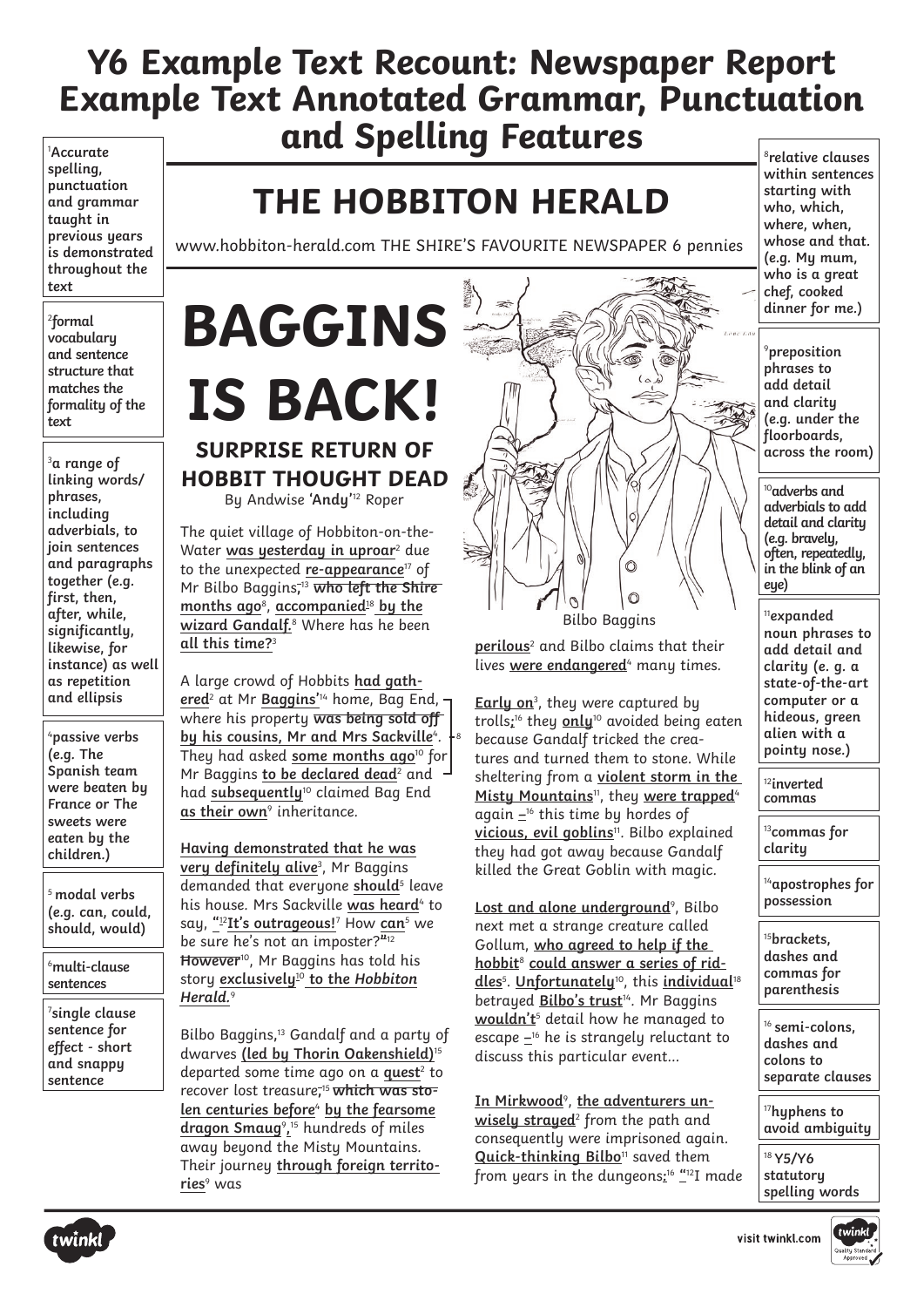1 **Accurate spelling, punctuation and grammar taught in previous years is demonstrated throughout the text**

2 **formal vocabulary and sentence structure that matches the formality of the text** 

3 **a range of linking words/ phrases, including adverbials, to join sentences and paragraphs together (e.g. first, then, after, while, significantly, likewise, for instance) as well as repetition and ellipsis**

4 **passive verbs (e.g. The Spanish team were beaten by France or The sweets were eaten by the children.)**

<sup>5</sup>**modal verbs (e.g. can, could, should, would)**

6 **multi-clause sentences** 

7 **single clause sentence for effect - short and snappy sentence**

## **THE HOBBITON HERALD**

www.hobbiton-herald.com THE SHIRE'S FAVOURITE NEWSPAPER 6 pennies

### **IS BACK! SURPRISE RETURN OF HOBBIT THOUGHT DEAD**

By Andwise **'Andy'** <sup>12</sup> Roper

The quiet village of Hobbiton-on-the-Water was yesterday in uproar<sup>2</sup> due to the unexpected **re-appearance**17 of Mr Bilbo Baggins**,** <sup>13</sup> **who left the Shire months ago**<sup>8</sup> , **accompanied**<sup>18</sup> **by the wizard Gandalf.**<sup>8</sup> Where has he been **all this time?**<sup>3</sup>

A large crowd of Hobbits **had gathered**<sup>2</sup> at Mr **Baggins'**14 home, Bag End, where his property **was being sold off by his cousins, Mr and Mrs Sackville**4.  $\vdash$ 8 They had asked **some months ago**10 for Mr Baggins to be declared dead<sup>2</sup> and had **subsequently**10 claimed Bag End **as their own**<sup>9</sup> inheritance.

**Having demonstrated that he was very definitely alive**<sup>3</sup> , Mr Baggins demanded that everyone should<sup>5</sup> leave his house. Mrs Sackville was heard<sup>4</sup> to say, **"** <sup>12</sup>**It's outrageous!**<sup>7</sup> How **can**<sup>5</sup> we be sure he's not an imposter?**"** 12 **However**10, Mr Baggins has told his story **exclusively**10 **to the Hobbiton Herald.** 9

Bilbo Baggins**,** <sup>13</sup> Gandalf and a party of dwarves **(led by Thorin Oakenshield)**<sup>15</sup> departed some time ago on a **quest**<sup>2</sup> to recover lost treasure**,** 15 **which was stolen centuries before**<sup>4</sup> **by the fearsome dragon Smaug**<sup>9</sup> **,** <sup>15</sup> hundreds of miles away beyond the Misty Mountains. Their journey **through foreign territories**<sup>9</sup> was



**perilous**<sup>2</sup> and Bilbo claims that their lives were endangered<sup>4</sup> many times.

**Early on**<sup>3</sup> , they were captured by trolls**;** 16 they **only**10 avoided being eaten because Gandalf tricked the creatures and turned them to stone. While sheltering from a **violent storm in the**  Misty Mountains<sup>11</sup>, they were trapped<sup>4</sup> again **–**16 this time by hordes of **vicious, evil goblins**11. Bilbo explained they had got away because Gandalf killed the Great Goblin with magic.

Lost and alone underground<sup>9</sup>, Bilbo next met a strange creature called Gollum, **who agreed to help if the hobbit**<sup>8</sup> **could answer a series of riddles**<sup>5</sup> . **Unfortunately**10, this **individual**<sup>18</sup> betrayed **Bilbo's trust**14. Mr Baggins **wouldn't**<sup>5</sup> detail how he managed to escape **–**16 he is strangely reluctant to discuss this particular event…

In Mirkwood<sup>9</sup>, the adventurers un**wisely strayed**<sup>2</sup> from the path and consequently were imprisoned again. **Quick-thinking Bilbo**11 saved them from years in the dungeons**:** <sup>16</sup> **"**12I made

<sup>8</sup>**relative clauses within sentences starting with who, which, where, when, whose and that. (e.g. My mum, who is a great chef, cooked dinner for me.)**

9 **preposition phrases to add detail and clarity (e.g. under the floorboards, across the room)** 

<sup>10</sup>**adverbs and adverbials to add detail and clarity (e.g. bravely, often, repeatedly, in the blink of an eye)**

<sup>11</sup>**expanded noun phrases to add detail and clarity (e. g. a state-of-the-art computer or a hideous, green alien with a pointy nose.)**

<sup>12</sup>**inverted commas**

<sup>13</sup>**commas for clarity**

<sup>14</sup>**apostrophes for possession** 

<sup>15</sup>**brackets, dashes and commas for parenthesis**

<sup>16</sup>**semi-colons, dashes and colons to separate clauses**

<sup>17</sup>**hyphens to avoid ambiguity**

<sup>18</sup>**Y5/Y6 statutory spelling words**





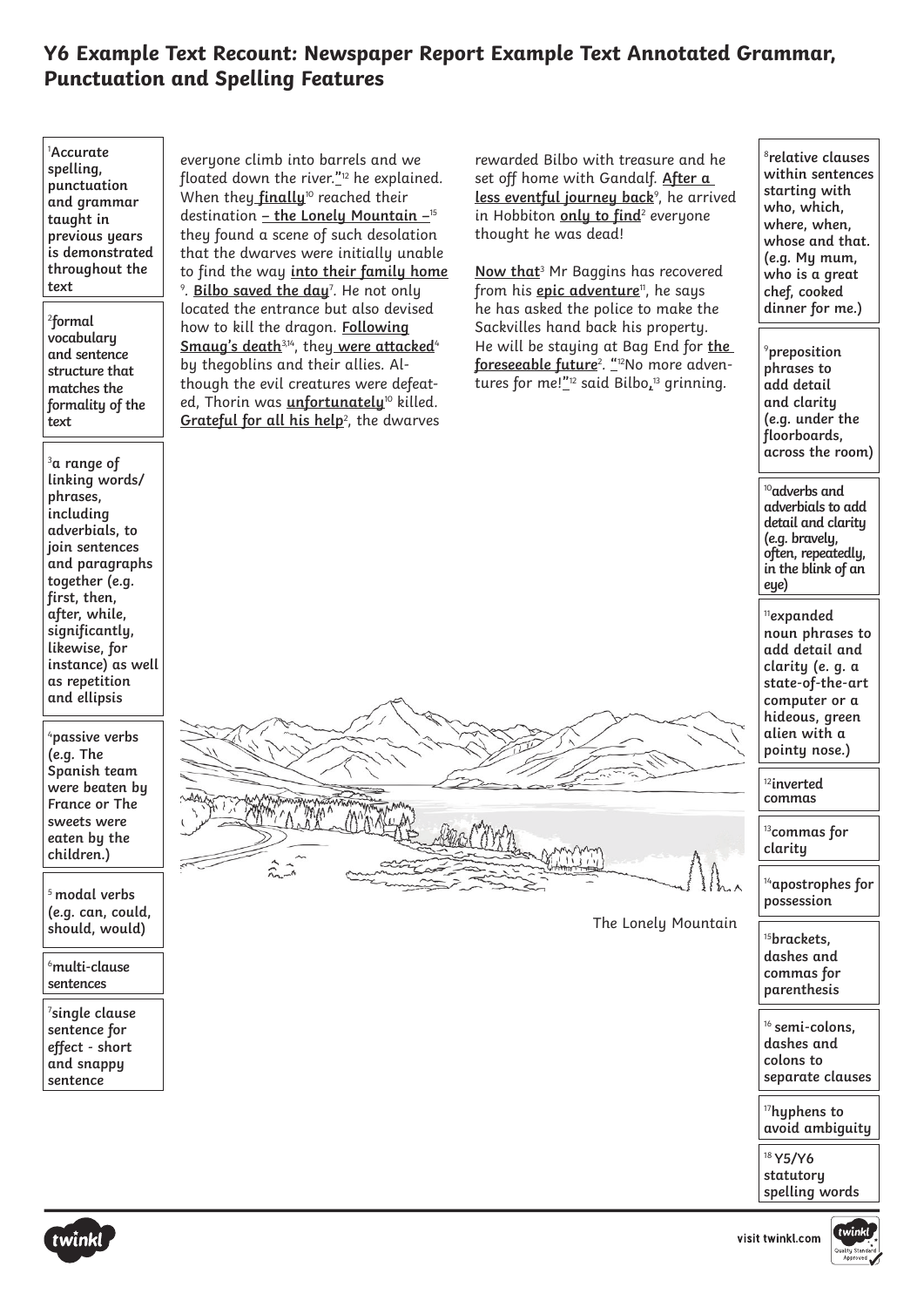| <sup>1</sup> Accurate<br>spelling,<br>punctuation<br>and grammar<br>taught in<br>previous years<br>is demonstrated<br>throughout the<br>text<br><sup>2</sup> formal | everyone climb into barrels and we<br>floated down the river." <sup>12</sup> he explained.<br>When they finally <sup>10</sup> reached their<br>destination - the Lonely Mountain $-$ <sup>15</sup><br>they found a scene of such desolation<br>that the dwarves were initially unable<br>to find the way into their family home<br><sup>9</sup> . Bilbo saved the day <sup>7</sup> . He not only<br>located the entrance but also devised<br>how to kill the dragon. Following<br>Smaug's death <sup>3,14</sup> , they were attacked <sup>4</sup><br>by thegoblins and their allies. Al-<br>though the evil creatures were defeat-<br>ed, Thorin was <i>unfortunately<sup>10</sup> killed</i> .<br>Grateful for all his help <sup>2</sup> , the dwarves | rewarded Bilbo with treasure and he<br>set off home with Gandalf. After a<br>less eventful journey back <sup>9</sup> , he arrived<br>in Hobbiton only to find <sup>2</sup> everyone<br>thought he was dead!<br>Now that <sup>3</sup> Mr Baggins has recovered<br>from his <i>epic adventure</i> <sup>11</sup> , he says<br>he has asked the police to make the<br>Sackvilles hand back his property.<br>He will be staying at Bag End for the<br>foreseeable future <sup>2</sup> . " <sup>12</sup> No more adven-<br>tures for me!" <sup>12</sup> said Bilbo. <sup>13</sup> grinning. | <sup>8</sup> relative clauses<br>within sentences<br>starting with<br>who, which,<br>where, when,<br>whose and that.<br>(e.g. My mum,<br>who is a great<br>chef, cooked<br>dinner for me.) |
|---------------------------------------------------------------------------------------------------------------------------------------------------------------------|---------------------------------------------------------------------------------------------------------------------------------------------------------------------------------------------------------------------------------------------------------------------------------------------------------------------------------------------------------------------------------------------------------------------------------------------------------------------------------------------------------------------------------------------------------------------------------------------------------------------------------------------------------------------------------------------------------------------------------------------------------|---------------------------------------------------------------------------------------------------------------------------------------------------------------------------------------------------------------------------------------------------------------------------------------------------------------------------------------------------------------------------------------------------------------------------------------------------------------------------------------------------------------------------------------------------------------------------------------|--------------------------------------------------------------------------------------------------------------------------------------------------------------------------------------------|
| vocabulary<br>and sentence<br>structure that<br>matches the<br>formality of the<br>text                                                                             |                                                                                                                                                                                                                                                                                                                                                                                                                                                                                                                                                                                                                                                                                                                                                         |                                                                                                                                                                                                                                                                                                                                                                                                                                                                                                                                                                                       | <sup>9</sup> preposition<br>phrases to<br>add detail<br>and clarity<br>(e.g. under the<br>floorboards,<br>across the room)                                                                 |
| $3a$ range of<br>linking words/<br>phrases,<br>including<br>adverbials, to<br>join sentences<br>and paragraphs<br>together (e.g.<br>first, then,                    |                                                                                                                                                                                                                                                                                                                                                                                                                                                                                                                                                                                                                                                                                                                                                         |                                                                                                                                                                                                                                                                                                                                                                                                                                                                                                                                                                                       | <sup>10</sup> adverbs and<br>adverbials to add<br>detail and clarity<br>(e.g. bravely,<br>often, repeatedly,<br>in the blink of an<br>eye)                                                 |
| after, while,<br>significantly,<br>likewise, for<br>instance) as well<br>as repetition<br>and ellipsis<br><sup>4</sup> passive verbs                                | MAN MAN MANTE<br>$M_{\rm H}$ $\sim$<br>Bernham<br>$\sum_{n=1}^{\infty}$<br>The Lonely Mountain                                                                                                                                                                                                                                                                                                                                                                                                                                                                                                                                                                                                                                                          |                                                                                                                                                                                                                                                                                                                                                                                                                                                                                                                                                                                       | <sup>11</sup> expanded<br>noun phrases to<br>add detail and<br>clarity (e. g. a<br>state-of-the-art<br>computer or a<br>hideous, green<br>alien with a                                     |
| (e.g. The<br>Spanish team<br>were beaten by<br>France or The<br>sweets were<br>eaten by the<br>children.)                                                           |                                                                                                                                                                                                                                                                                                                                                                                                                                                                                                                                                                                                                                                                                                                                                         |                                                                                                                                                                                                                                                                                                                                                                                                                                                                                                                                                                                       | pointy nose.)<br>$^{12}$ inverted<br>commas                                                                                                                                                |
|                                                                                                                                                                     |                                                                                                                                                                                                                                                                                                                                                                                                                                                                                                                                                                                                                                                                                                                                                         |                                                                                                                                                                                                                                                                                                                                                                                                                                                                                                                                                                                       | <sup>13</sup> commas for<br>clarity                                                                                                                                                        |
| <sup>5</sup> modal verbs<br>(e.g. can, could,                                                                                                                       |                                                                                                                                                                                                                                                                                                                                                                                                                                                                                                                                                                                                                                                                                                                                                         |                                                                                                                                                                                                                                                                                                                                                                                                                                                                                                                                                                                       | <sup>14</sup> apostrophes for<br>possession                                                                                                                                                |
| should, would)<br><sup>6</sup> multi-clause<br>sentences                                                                                                            |                                                                                                                                                                                                                                                                                                                                                                                                                                                                                                                                                                                                                                                                                                                                                         |                                                                                                                                                                                                                                                                                                                                                                                                                                                                                                                                                                                       | <sup>15</sup> brackets,<br>dashes and<br>commas for<br>parenthesis                                                                                                                         |
| $7$ single clause<br>sentence for<br>effect - short<br>and snappy<br>sentence                                                                                       |                                                                                                                                                                                                                                                                                                                                                                                                                                                                                                                                                                                                                                                                                                                                                         |                                                                                                                                                                                                                                                                                                                                                                                                                                                                                                                                                                                       | <sup>16</sup> semi-colons,<br>dashes and<br>colons to<br>separate clauses                                                                                                                  |
|                                                                                                                                                                     |                                                                                                                                                                                                                                                                                                                                                                                                                                                                                                                                                                                                                                                                                                                                                         |                                                                                                                                                                                                                                                                                                                                                                                                                                                                                                                                                                                       | <sup>17</sup> hyphens to<br>avoid ambiguity                                                                                                                                                |
|                                                                                                                                                                     |                                                                                                                                                                                                                                                                                                                                                                                                                                                                                                                                                                                                                                                                                                                                                         |                                                                                                                                                                                                                                                                                                                                                                                                                                                                                                                                                                                       | <sup>18</sup> Y5/Y6<br>statutory<br>spelling words                                                                                                                                         |
| twinkl<br>twinkl<br>visit twinkl.com                                                                                                                                |                                                                                                                                                                                                                                                                                                                                                                                                                                                                                                                                                                                                                                                                                                                                                         |                                                                                                                                                                                                                                                                                                                                                                                                                                                                                                                                                                                       |                                                                                                                                                                                            |

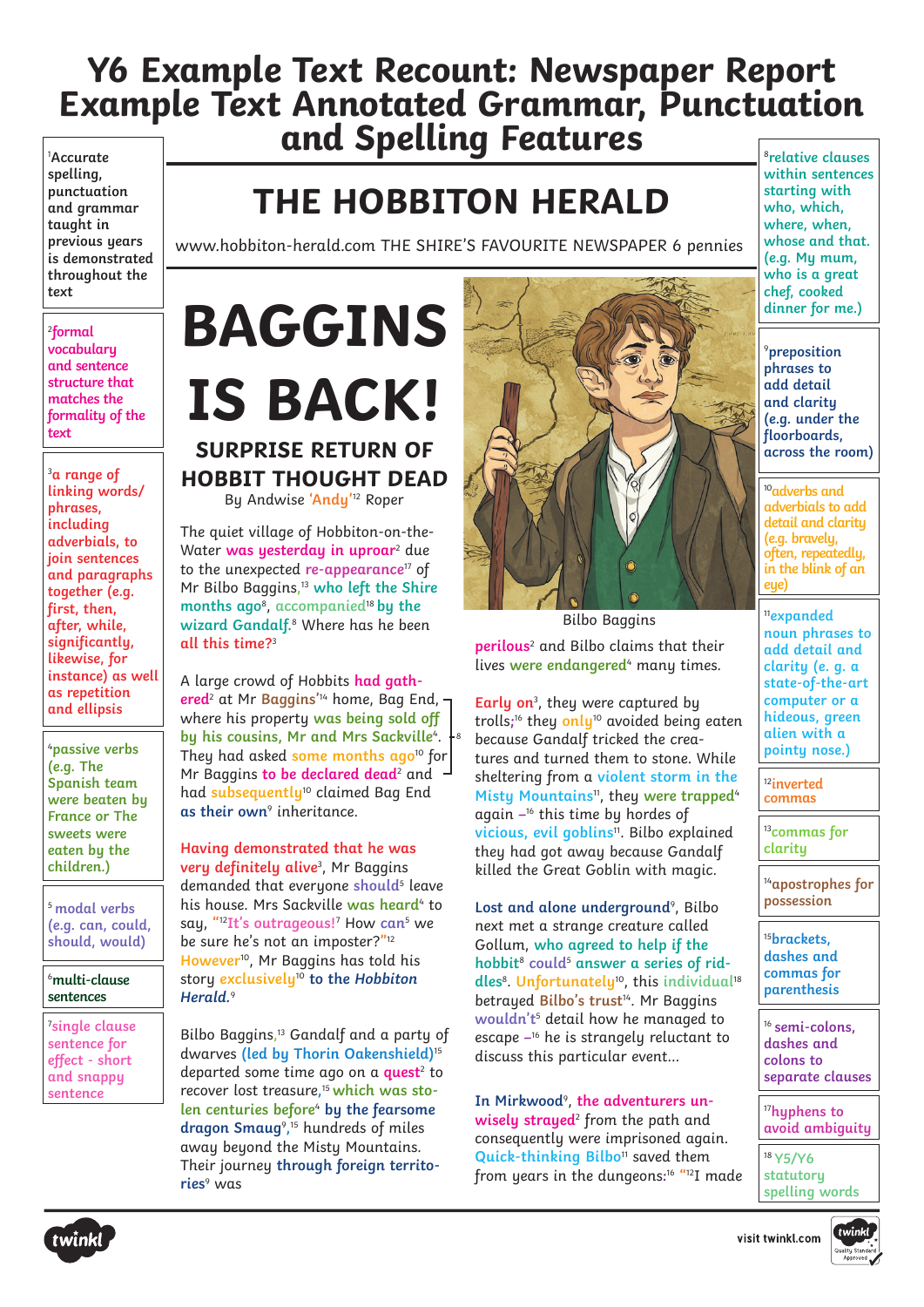1 **Accurate spelling, punctuation and grammar taught in previous years is demonstrated throughout the text**

2 **formal vocabulary and sentence structure that matches the formality of the text** 

3 **a range of linking words/ phrases, including adverbials, to join sentences and paragraphs together (e.g. first, then, after, while, significantly, likewise, for instance) as well as repetition and ellipsis**

4 **passive verbs (e.g. The Spanish team were beaten by France or The sweets were eaten by the children.)**

<sup>5</sup>**modal verbs (e.g. can, could, should, would)**

#### 6 **multi-clause sentences**

7 **single clause sentence for effect - short and snappy sentence**

## **THE HOBBITON HERALD**

www.hobbiton-herald.com THE SHIRE'S FAVOURITE NEWSPAPER 6 pennies

## **BAGGINS IS BACK! SURPRISE RETURN OF HOBBIT THOUGHT DEAD**

By Andwise **'Andy'** <sup>12</sup> Roper

The quiet village of Hobbiton-on-the-Water **was yesterday in uproar**<sup>2</sup> due to the unexpected **re-appearance**17 of Mr Bilbo Baggins**,** <sup>13</sup> **who left the Shire months ago**<sup>8</sup> , **accompanied**<sup>18</sup> **by the wizard Gandalf.**<sup>8</sup> Where has he been **all this time?**<sup>3</sup>

A large crowd of Hobbits **had gathered**<sup>2</sup> at Mr **Baggins'**14 home, Bag End, where his property **was being sold off by his cousins, Mr and Mrs Sackville**<sup>4</sup> . 8 They had asked **some months ago**10 for Mr Baggins **to be declared dead**<sup>2</sup> and had **subsequently**10 claimed Bag End **as their own**<sup>9</sup> inheritance.

**Having demonstrated that he was very definitely alive**<sup>3</sup> , Mr Baggins demanded that everyone **should**<sup>5</sup> leave his house. Mrs Sackville **was heard**<sup>4</sup> to say, **"** <sup>12</sup>**It's outrageous!**<sup>7</sup> How **can**<sup>5</sup> we be sure he's not an imposter?**"** 12 **However**10, Mr Baggins has told his story **exclusively**10 **to the Hobbiton Herald.** 9

Bilbo Baggins**,** <sup>13</sup> Gandalf and a party of dwarves **(led by Thorin Oakenshield)**<sup>15</sup> departed some time ago on a **quest**<sup>2</sup> to recover lost treasure**,** 15 **which was stolen centuries before**<sup>4</sup> **by the fearsome dragon Smaug**<sup>9</sup> **,** <sup>15</sup> hundreds of miles away beyond the Misty Mountains. Their journey **through foreign territories**<sup>9</sup> was



Bilbo Baggins **perilous**<sup>2</sup> and Bilbo claims that their lives **were endangered**<sup>4</sup> many times.

**Early on**<sup>3</sup> , they were captured by trolls**;** 16 they **only**10 avoided being eaten because Gandalf tricked the creatures and turned them to stone. While sheltering from a **violent storm in the Misty Mountains**11, they **were trapped**<sup>4</sup> again **–**16 this time by hordes of **vicious, evil goblins**11. Bilbo explained they had got away because Gandalf killed the Great Goblin with magic.

Lost and alone underground<sup>9</sup>, Bilbo next met a strange creature called Gollum, **who agreed to help if the hobbit**<sup>8</sup> **could**<sup>5</sup> **answer a series of riddles**8. **Unfortunately**10, this **individual**<sup>18</sup> betrayed **Bilbo's trust**14. Mr Baggins **wouldn't**<sup>5</sup> detail how he managed to escape **–**16 he is strangely reluctant to discuss this particular event…

**In Mirkwood**<sup>9</sup> , **the adventurers un**wisely strayed<sup>2</sup> from the path and consequently were imprisoned again. **Quick-thinking Bilbo**11 saved them from years in the dungeons**:** <sup>16</sup> **"**12I made

<sup>8</sup>**relative clauses within sentences starting with who, which, where, when, whose and that. (e.g. My mum, who is a great chef, cooked dinner for me.)**

9 **preposition phrases to add detail and clarity (e.g. under the floorboards, across the room)** 

<sup>10</sup>**adverbs and adverbials to add detail and clarity (e.g. bravely, often, repeatedly, in the blink of an eye)**

<sup>11</sup>**expanded noun phrases to add detail and clarity (e. g. a state-of-the-art computer or a hideous, green alien with a pointy nose.)**

<sup>12</sup>**inverted commas**

<sup>13</sup>**commas for clarity**

<sup>14</sup>**apostrophes for possession** 

<sup>15</sup>**brackets, dashes and commas for parenthesis**

<sup>16</sup>**semi-colons, dashes and colons to separate clauses**

<sup>17</sup>**hyphens to avoid ambiguity**

<sup>18</sup>**Y5/Y6 statutory spelling words**